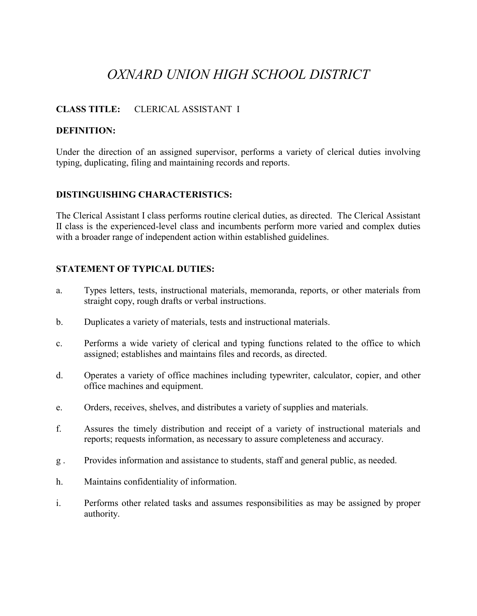# *OXNARD UNION HIGH SCHOOL DISTRICT*

## **CLASS TITLE:** CLERICAL ASSISTANT I

#### **DEFINITION:**

Under the direction of an assigned supervisor, performs a variety of clerical duties involving typing, duplicating, filing and maintaining records and reports.

#### **DISTINGUISHING CHARACTERISTICS:**

The Clerical Assistant I class performs routine clerical duties, as directed. The Clerical Assistant II class is the experienced-level class and incumbents perform more varied and complex duties with a broader range of independent action within established guidelines.

#### **STATEMENT OF TYPICAL DUTIES:**

- a. Types letters, tests, instructional materials, memoranda, reports, or other materials from straight copy, rough drafts or verbal instructions.
- b. Duplicates a variety of materials, tests and instructional materials.
- c. Performs a wide variety of clerical and typing functions related to the office to which assigned; establishes and maintains files and records, as directed.
- d. Operates a variety of office machines including typewriter, calculator, copier, and other office machines and equipment.
- e. Orders, receives, shelves, and distributes a variety of supplies and materials.
- f. Assures the timely distribution and receipt of a variety of instructional materials and reports; requests information, as necessary to assure completeness and accuracy.
- g . Provides information and assistance to students, staff and general public, as needed.
- h. Maintains confidentiality of information.
- i. Performs other related tasks and assumes responsibilities as may be assigned by proper authority.